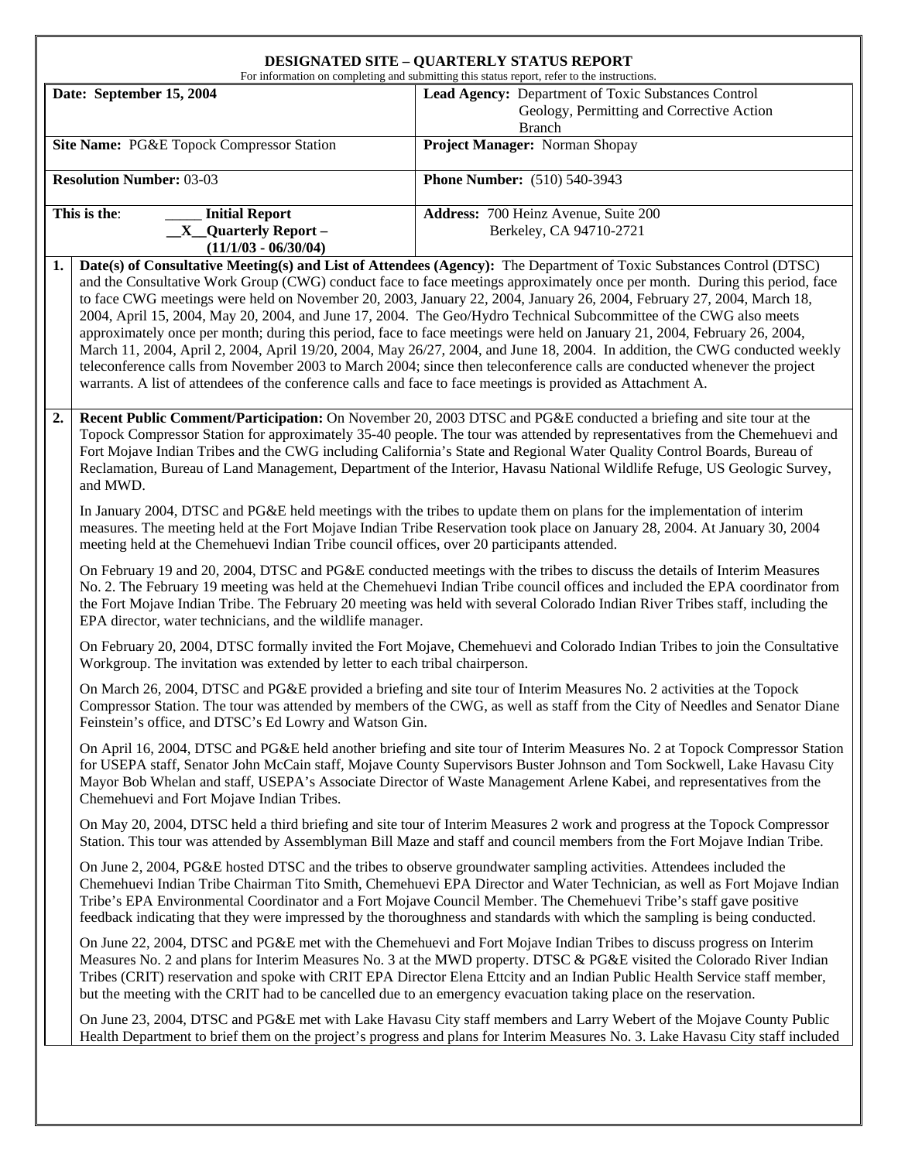## **DESIGNATED SITE – QUARTERLY STATUS REPORT**

|                                           | For information on completing and submitting this status report, refer to the instructions.                                                                                                                                                                                                                                                                                                                                                             |                                                                                                                                                                                                                                                                                                                                                                                                                                                                                                                                                                                                                                                                                                                                                                                                                                                                                           |  |  |  |  |
|-------------------------------------------|---------------------------------------------------------------------------------------------------------------------------------------------------------------------------------------------------------------------------------------------------------------------------------------------------------------------------------------------------------------------------------------------------------------------------------------------------------|-------------------------------------------------------------------------------------------------------------------------------------------------------------------------------------------------------------------------------------------------------------------------------------------------------------------------------------------------------------------------------------------------------------------------------------------------------------------------------------------------------------------------------------------------------------------------------------------------------------------------------------------------------------------------------------------------------------------------------------------------------------------------------------------------------------------------------------------------------------------------------------------|--|--|--|--|
| Date: September 15, 2004                  |                                                                                                                                                                                                                                                                                                                                                                                                                                                         | Lead Agency: Department of Toxic Substances Control                                                                                                                                                                                                                                                                                                                                                                                                                                                                                                                                                                                                                                                                                                                                                                                                                                       |  |  |  |  |
|                                           |                                                                                                                                                                                                                                                                                                                                                                                                                                                         | Geology, Permitting and Corrective Action                                                                                                                                                                                                                                                                                                                                                                                                                                                                                                                                                                                                                                                                                                                                                                                                                                                 |  |  |  |  |
| Site Name: PG&E Topock Compressor Station |                                                                                                                                                                                                                                                                                                                                                                                                                                                         | <b>Branch</b><br>Project Manager: Norman Shopay                                                                                                                                                                                                                                                                                                                                                                                                                                                                                                                                                                                                                                                                                                                                                                                                                                           |  |  |  |  |
|                                           |                                                                                                                                                                                                                                                                                                                                                                                                                                                         |                                                                                                                                                                                                                                                                                                                                                                                                                                                                                                                                                                                                                                                                                                                                                                                                                                                                                           |  |  |  |  |
| <b>Resolution Number: 03-03</b>           |                                                                                                                                                                                                                                                                                                                                                                                                                                                         | <b>Phone Number:</b> (510) 540-3943                                                                                                                                                                                                                                                                                                                                                                                                                                                                                                                                                                                                                                                                                                                                                                                                                                                       |  |  |  |  |
| This is the:<br><b>Initial Report</b>     |                                                                                                                                                                                                                                                                                                                                                                                                                                                         | Address: 700 Heinz Avenue, Suite 200                                                                                                                                                                                                                                                                                                                                                                                                                                                                                                                                                                                                                                                                                                                                                                                                                                                      |  |  |  |  |
|                                           | $X$ Quarterly Report –                                                                                                                                                                                                                                                                                                                                                                                                                                  | Berkeley, CA 94710-2721                                                                                                                                                                                                                                                                                                                                                                                                                                                                                                                                                                                                                                                                                                                                                                                                                                                                   |  |  |  |  |
|                                           | $(11/1/03 - 06/30/04)$                                                                                                                                                                                                                                                                                                                                                                                                                                  |                                                                                                                                                                                                                                                                                                                                                                                                                                                                                                                                                                                                                                                                                                                                                                                                                                                                                           |  |  |  |  |
| 1.                                        | warrants. A list of attendees of the conference calls and face to face meetings is provided as Attachment A.                                                                                                                                                                                                                                                                                                                                            | Date(s) of Consultative Meeting(s) and List of Attendees (Agency): The Department of Toxic Substances Control (DTSC)<br>and the Consultative Work Group (CWG) conduct face to face meetings approximately once per month. During this period, face<br>to face CWG meetings were held on November 20, 2003, January 22, 2004, January 26, 2004, February 27, 2004, March 18,<br>2004, April 15, 2004, May 20, 2004, and June 17, 2004. The Geo/Hydro Technical Subcommittee of the CWG also meets<br>approximately once per month; during this period, face to face meetings were held on January 21, 2004, February 26, 2004,<br>March 11, 2004, April 2, 2004, April 19/20, 2004, May 26/27, 2004, and June 18, 2004. In addition, the CWG conducted weekly<br>teleconference calls from November 2003 to March 2004; since then teleconference calls are conducted whenever the project |  |  |  |  |
| 2.                                        | and MWD.                                                                                                                                                                                                                                                                                                                                                                                                                                                | Recent Public Comment/Participation: On November 20, 2003 DTSC and PG&E conducted a briefing and site tour at the<br>Topock Compressor Station for approximately 35-40 people. The tour was attended by representatives from the Chemehuevi and<br>Fort Mojave Indian Tribes and the CWG including California's State and Regional Water Quality Control Boards, Bureau of<br>Reclamation, Bureau of Land Management, Department of the Interior, Havasu National Wildlife Refuge, US Geologic Survey,                                                                                                                                                                                                                                                                                                                                                                                    |  |  |  |  |
|                                           | In January 2004, DTSC and PG&E held meetings with the tribes to update them on plans for the implementation of interim<br>measures. The meeting held at the Fort Mojave Indian Tribe Reservation took place on January 28, 2004. At January 30, 2004<br>meeting held at the Chemehuevi Indian Tribe council offices, over 20 participants attended.                                                                                                     |                                                                                                                                                                                                                                                                                                                                                                                                                                                                                                                                                                                                                                                                                                                                                                                                                                                                                           |  |  |  |  |
|                                           | On February 19 and 20, 2004, DTSC and PG&E conducted meetings with the tribes to discuss the details of Interim Measures<br>No. 2. The February 19 meeting was held at the Chemehuevi Indian Tribe council offices and included the EPA coordinator from<br>the Fort Mojave Indian Tribe. The February 20 meeting was held with several Colorado Indian River Tribes staff, including the<br>EPA director, water technicians, and the wildlife manager. |                                                                                                                                                                                                                                                                                                                                                                                                                                                                                                                                                                                                                                                                                                                                                                                                                                                                                           |  |  |  |  |
|                                           | On February 20, 2004, DTSC formally invited the Fort Mojave, Chemehuevi and Colorado Indian Tribes to join the Consultative<br>Workgroup. The invitation was extended by letter to each tribal chairperson.                                                                                                                                                                                                                                             |                                                                                                                                                                                                                                                                                                                                                                                                                                                                                                                                                                                                                                                                                                                                                                                                                                                                                           |  |  |  |  |
|                                           | Feinstein's office, and DTSC's Ed Lowry and Watson Gin.                                                                                                                                                                                                                                                                                                                                                                                                 | On March 26, 2004, DTSC and PG&E provided a briefing and site tour of Interim Measures No. 2 activities at the Topock<br>Compressor Station. The tour was attended by members of the CWG, as well as staff from the City of Needles and Senator Diane                                                                                                                                                                                                                                                                                                                                                                                                                                                                                                                                                                                                                                     |  |  |  |  |
|                                           | Chemehuevi and Fort Mojave Indian Tribes.                                                                                                                                                                                                                                                                                                                                                                                                               | On April 16, 2004, DTSC and PG&E held another briefing and site tour of Interim Measures No. 2 at Topock Compressor Station<br>for USEPA staff, Senator John McCain staff, Mojave County Supervisors Buster Johnson and Tom Sockwell, Lake Havasu City<br>Mayor Bob Whelan and staff, USEPA's Associate Director of Waste Management Arlene Kabei, and representatives from the                                                                                                                                                                                                                                                                                                                                                                                                                                                                                                           |  |  |  |  |
|                                           |                                                                                                                                                                                                                                                                                                                                                                                                                                                         | On May 20, 2004, DTSC held a third briefing and site tour of Interim Measures 2 work and progress at the Topock Compressor<br>Station. This tour was attended by Assemblyman Bill Maze and staff and council members from the Fort Mojave Indian Tribe.                                                                                                                                                                                                                                                                                                                                                                                                                                                                                                                                                                                                                                   |  |  |  |  |
|                                           |                                                                                                                                                                                                                                                                                                                                                                                                                                                         | On June 2, 2004, PG&E hosted DTSC and the tribes to observe groundwater sampling activities. Attendees included the<br>Chemehuevi Indian Tribe Chairman Tito Smith, Chemehuevi EPA Director and Water Technician, as well as Fort Mojave Indian<br>Tribe's EPA Environmental Coordinator and a Fort Mojave Council Member. The Chemehuevi Tribe's staff gave positive<br>feedback indicating that they were impressed by the thoroughness and standards with which the sampling is being conducted.                                                                                                                                                                                                                                                                                                                                                                                       |  |  |  |  |
|                                           |                                                                                                                                                                                                                                                                                                                                                                                                                                                         | On June 22, 2004, DTSC and PG&E met with the Chemehuevi and Fort Mojave Indian Tribes to discuss progress on Interim<br>Measures No. 2 and plans for Interim Measures No. 3 at the MWD property. DTSC & PG&E visited the Colorado River Indian<br>Tribes (CRIT) reservation and spoke with CRIT EPA Director Elena Ettcity and an Indian Public Health Service staff member,<br>but the meeting with the CRIT had to be cancelled due to an emergency evacuation taking place on the reservation.                                                                                                                                                                                                                                                                                                                                                                                         |  |  |  |  |
|                                           |                                                                                                                                                                                                                                                                                                                                                                                                                                                         | On June 23, 2004, DTSC and PG&E met with Lake Havasu City staff members and Larry Webert of the Mojave County Public<br>Health Department to brief them on the project's progress and plans for Interim Measures No. 3. Lake Havasu City staff included                                                                                                                                                                                                                                                                                                                                                                                                                                                                                                                                                                                                                                   |  |  |  |  |
|                                           |                                                                                                                                                                                                                                                                                                                                                                                                                                                         |                                                                                                                                                                                                                                                                                                                                                                                                                                                                                                                                                                                                                                                                                                                                                                                                                                                                                           |  |  |  |  |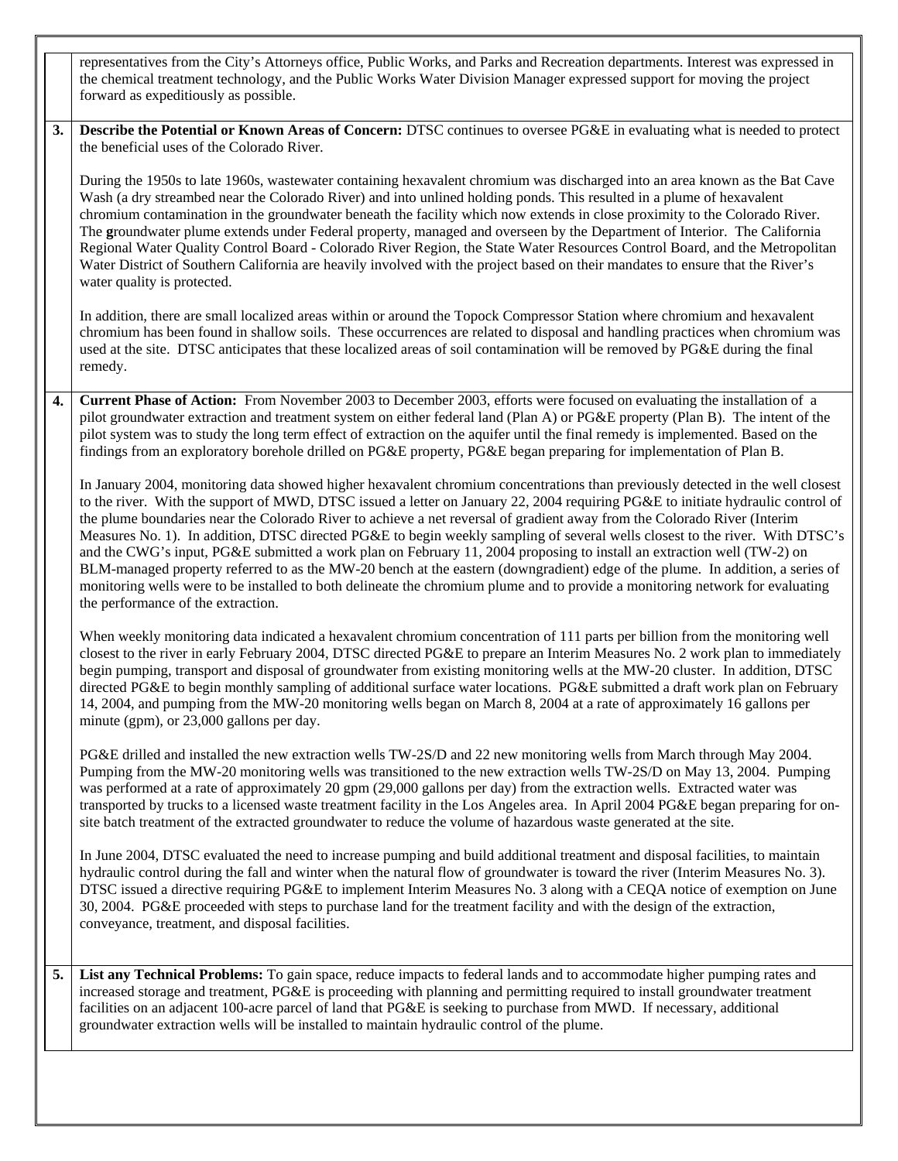representatives from the City's Attorneys office, Public Works, and Parks and Recreation departments. Interest was expressed in the chemical treatment technology, and the Public Works Water Division Manager expressed support for moving the project forward as expeditiously as possible.

**3.** Describe the Potential or Known Areas of Concern: DTSC continues to oversee PG&E in evaluating what is needed to protect the beneficial uses of the Colorado River.

During the 1950s to late 1960s, wastewater containing hexavalent chromium was discharged into an area known as the Bat Cave Wash (a dry streambed near the Colorado River) and into unlined holding ponds. This resulted in a plume of hexavalent chromium contamination in the groundwater beneath the facility which now extends in close proximity to the Colorado River. The **g**roundwater plume extends under Federal property, managed and overseen by the Department of Interior. The California Regional Water Quality Control Board - Colorado River Region, the State Water Resources Control Board, and the Metropolitan Water District of Southern California are heavily involved with the project based on their mandates to ensure that the River's water quality is protected.

In addition, there are small localized areas within or around the Topock Compressor Station where chromium and hexavalent chromium has been found in shallow soils. These occurrences are related to disposal and handling practices when chromium was used at the site. DTSC anticipates that these localized areas of soil contamination will be removed by PG&E during the final remedy.

**4. Current Phase of Action:** From November 2003 to December 2003, efforts were focused on evaluating the installation of a pilot groundwater extraction and treatment system on either federal land (Plan A) or PG&E property (Plan B). The intent of the pilot system was to study the long term effect of extraction on the aquifer until the final remedy is implemented. Based on the findings from an exploratory borehole drilled on PG&E property, PG&E began preparing for implementation of Plan B.

In January 2004, monitoring data showed higher hexavalent chromium concentrations than previously detected in the well closest to the river. With the support of MWD, DTSC issued a letter on January 22, 2004 requiring PG&E to initiate hydraulic control of the plume boundaries near the Colorado River to achieve a net reversal of gradient away from the Colorado River (Interim Measures No. 1). In addition, DTSC directed PG&E to begin weekly sampling of several wells closest to the river. With DTSC's and the CWG's input, PG&E submitted a work plan on February 11, 2004 proposing to install an extraction well (TW-2) on BLM-managed property referred to as the MW-20 bench at the eastern (downgradient) edge of the plume. In addition, a series of monitoring wells were to be installed to both delineate the chromium plume and to provide a monitoring network for evaluating the performance of the extraction.

When weekly monitoring data indicated a hexavalent chromium concentration of 111 parts per billion from the monitoring well closest to the river in early February 2004, DTSC directed PG&E to prepare an Interim Measures No. 2 work plan to immediately begin pumping, transport and disposal of groundwater from existing monitoring wells at the MW-20 cluster. In addition, DTSC directed PG&E to begin monthly sampling of additional surface water locations. PG&E submitted a draft work plan on February 14, 2004, and pumping from the MW-20 monitoring wells began on March 8, 2004 at a rate of approximately 16 gallons per minute (gpm), or 23,000 gallons per day.

PG&E drilled and installed the new extraction wells TW-2S/D and 22 new monitoring wells from March through May 2004. Pumping from the MW-20 monitoring wells was transitioned to the new extraction wells TW-2S/D on May 13, 2004. Pumping was performed at a rate of approximately 20 gpm (29,000 gallons per day) from the extraction wells. Extracted water was transported by trucks to a licensed waste treatment facility in the Los Angeles area. In April 2004 PG&E began preparing for onsite batch treatment of the extracted groundwater to reduce the volume of hazardous waste generated at the site.

In June 2004, DTSC evaluated the need to increase pumping and build additional treatment and disposal facilities, to maintain hydraulic control during the fall and winter when the natural flow of groundwater is toward the river (Interim Measures No. 3). DTSC issued a directive requiring PG&E to implement Interim Measures No. 3 along with a CEQA notice of exemption on June 30, 2004. PG&E proceeded with steps to purchase land for the treatment facility and with the design of the extraction, conveyance, treatment, and disposal facilities.

**5. List any Technical Problems:** To gain space, reduce impacts to federal lands and to accommodate higher pumping rates and increased storage and treatment, PG&E is proceeding with planning and permitting required to install groundwater treatment facilities on an adjacent 100-acre parcel of land that PG&E is seeking to purchase from MWD. If necessary, additional groundwater extraction wells will be installed to maintain hydraulic control of the plume.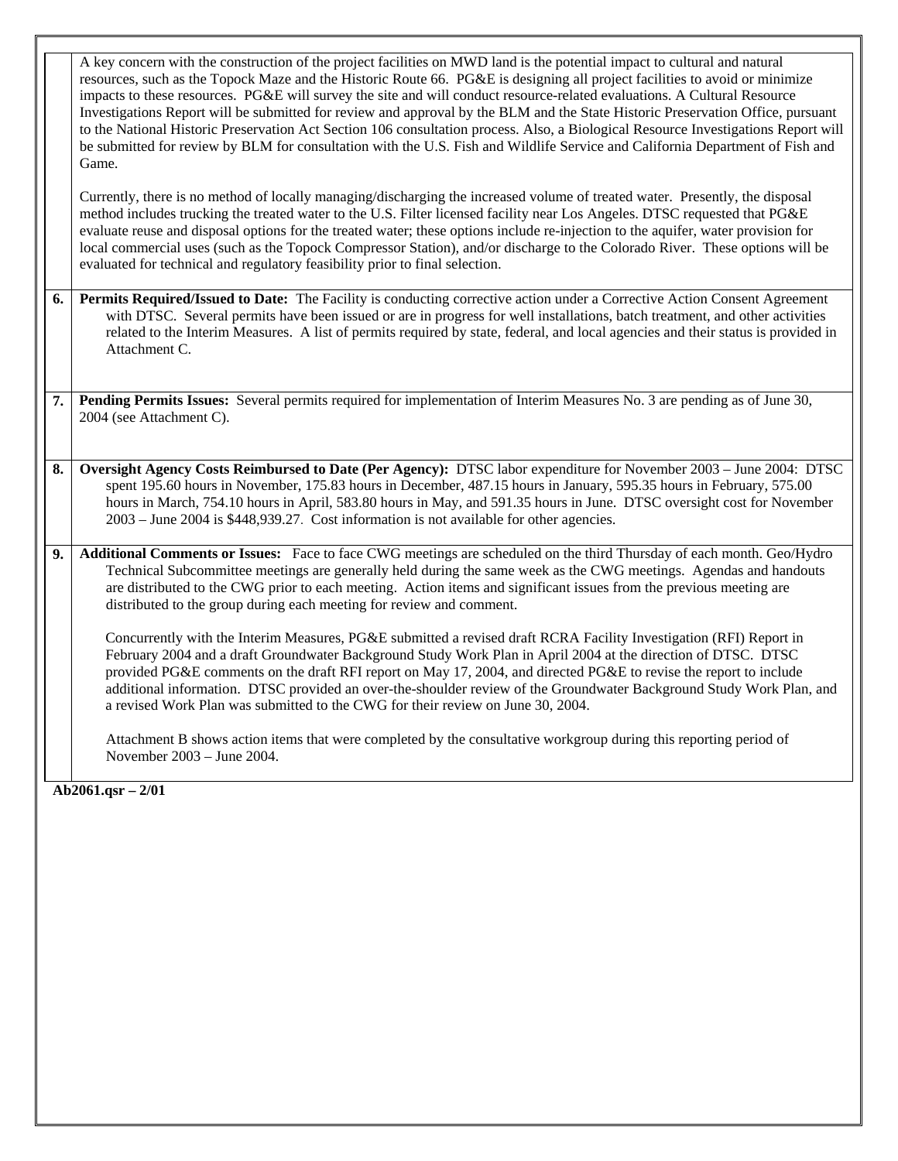A key concern with the construction of the project facilities on MWD land is the potential impact to cultural and natural resources, such as the Topock Maze and the Historic Route 66. PG&E is designing all project facilities to avoid or minimize impacts to these resources. PG&E will survey the site and will conduct resource-related evaluations. A Cultural Resource Investigations Report will be submitted for review and approval by the BLM and the State Historic Preservation Office, pursuant to the National Historic Preservation Act Section 106 consultation process. Also, a Biological Resource Investigations Report will be submitted for review by BLM for consultation with the U.S. Fish and Wildlife Service and California Department of Fish and Game.

Currently, there is no method of locally managing/discharging the increased volume of treated water. Presently, the disposal method includes trucking the treated water to the U.S. Filter licensed facility near Los Angeles. DTSC requested that PG&E evaluate reuse and disposal options for the treated water; these options include re-injection to the aquifer, water provision for local commercial uses (such as the Topock Compressor Station), and/or discharge to the Colorado River. These options will be evaluated for technical and regulatory feasibility prior to final selection.

- **6. Permits Required/Issued to Date:** The Facility is conducting corrective action under a Corrective Action Consent Agreement with DTSC. Several permits have been issued or are in progress for well installations, batch treatment, and other activities related to the Interim Measures. A list of permits required by state, federal, and local agencies and their status is provided in Attachment C.
- **7. Pending Permits Issues:** Several permits required for implementation of Interim Measures No. 3 are pending as of June 30, 2004 (see Attachment C).
- **8. Oversight Agency Costs Reimbursed to Date (Per Agency):** DTSC labor expenditure for November 2003 June 2004: DTSC spent 195.60 hours in November, 175.83 hours in December, 487.15 hours in January, 595.35 hours in February, 575.00 hours in March, 754.10 hours in April, 583.80 hours in May, and 591.35 hours in June. DTSC oversight cost for November 2003 – June 2004 is \$448,939.27. Cost information is not available for other agencies.
- **9. Additional Comments or Issues:** Face to face CWG meetings are scheduled on the third Thursday of each month. Geo/Hydro Technical Subcommittee meetings are generally held during the same week as the CWG meetings. Agendas and handouts are distributed to the CWG prior to each meeting. Action items and significant issues from the previous meeting are distributed to the group during each meeting for review and comment.

Concurrently with the Interim Measures, PG&E submitted a revised draft RCRA Facility Investigation (RFI) Report in February 2004 and a draft Groundwater Background Study Work Plan in April 2004 at the direction of DTSC. DTSC provided PG&E comments on the draft RFI report on May 17, 2004, and directed PG&E to revise the report to include additional information. DTSC provided an over-the-shoulder review of the Groundwater Background Study Work Plan, and a revised Work Plan was submitted to the CWG for their review on June 30, 2004.

Attachment B shows action items that were completed by the consultative workgroup during this reporting period of November 2003 – June 2004.

**Ab2061.qsr – 2/01**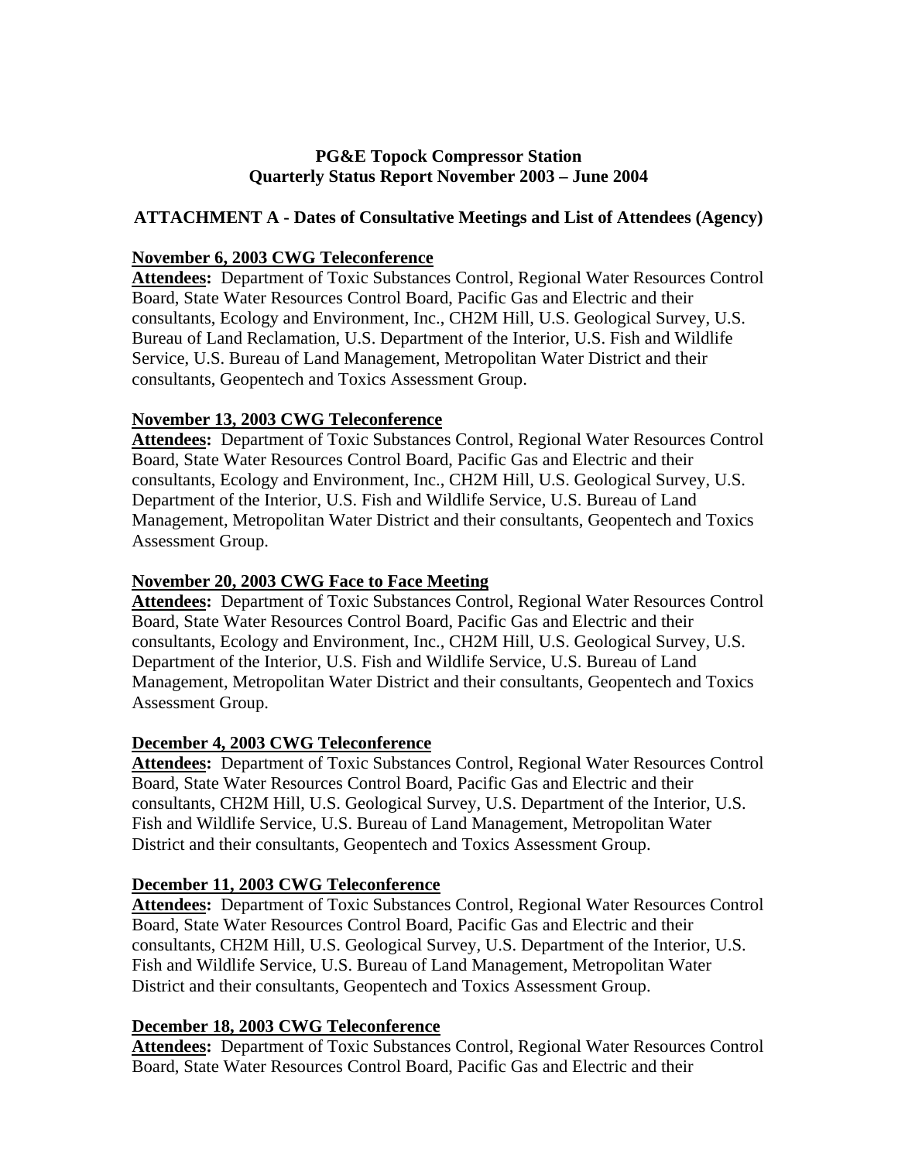### **PG&E Topock Compressor Station Quarterly Status Report November 2003 – June 2004**

### **ATTACHMENT A - Dates of Consultative Meetings and List of Attendees (Agency)**

### **November 6, 2003 CWG Teleconference**

**Attendees:** Department of Toxic Substances Control, Regional Water Resources Control Board, State Water Resources Control Board, Pacific Gas and Electric and their consultants, Ecology and Environment, Inc., CH2M Hill, U.S. Geological Survey, U.S. Bureau of Land Reclamation, U.S. Department of the Interior, U.S. Fish and Wildlife Service, U.S. Bureau of Land Management, Metropolitan Water District and their consultants, Geopentech and Toxics Assessment Group.

### **November 13, 2003 CWG Teleconference**

**Attendees:** Department of Toxic Substances Control, Regional Water Resources Control Board, State Water Resources Control Board, Pacific Gas and Electric and their consultants, Ecology and Environment, Inc., CH2M Hill, U.S. Geological Survey, U.S. Department of the Interior, U.S. Fish and Wildlife Service, U.S. Bureau of Land Management, Metropolitan Water District and their consultants, Geopentech and Toxics Assessment Group.

### **November 20, 2003 CWG Face to Face Meeting**

**Attendees:** Department of Toxic Substances Control, Regional Water Resources Control Board, State Water Resources Control Board, Pacific Gas and Electric and their consultants, Ecology and Environment, Inc., CH2M Hill, U.S. Geological Survey, U.S. Department of the Interior, U.S. Fish and Wildlife Service, U.S. Bureau of Land Management, Metropolitan Water District and their consultants, Geopentech and Toxics Assessment Group.

#### **December 4, 2003 CWG Teleconference**

**Attendees:** Department of Toxic Substances Control, Regional Water Resources Control Board, State Water Resources Control Board, Pacific Gas and Electric and their consultants, CH2M Hill, U.S. Geological Survey, U.S. Department of the Interior, U.S. Fish and Wildlife Service, U.S. Bureau of Land Management, Metropolitan Water District and their consultants, Geopentech and Toxics Assessment Group.

#### **December 11, 2003 CWG Teleconference**

**Attendees:** Department of Toxic Substances Control, Regional Water Resources Control Board, State Water Resources Control Board, Pacific Gas and Electric and their consultants, CH2M Hill, U.S. Geological Survey, U.S. Department of the Interior, U.S. Fish and Wildlife Service, U.S. Bureau of Land Management, Metropolitan Water District and their consultants, Geopentech and Toxics Assessment Group.

#### **December 18, 2003 CWG Teleconference**

Attendees: Department of Toxic Substances Control, Regional Water Resources Control Board, State Water Resources Control Board, Pacific Gas and Electric and their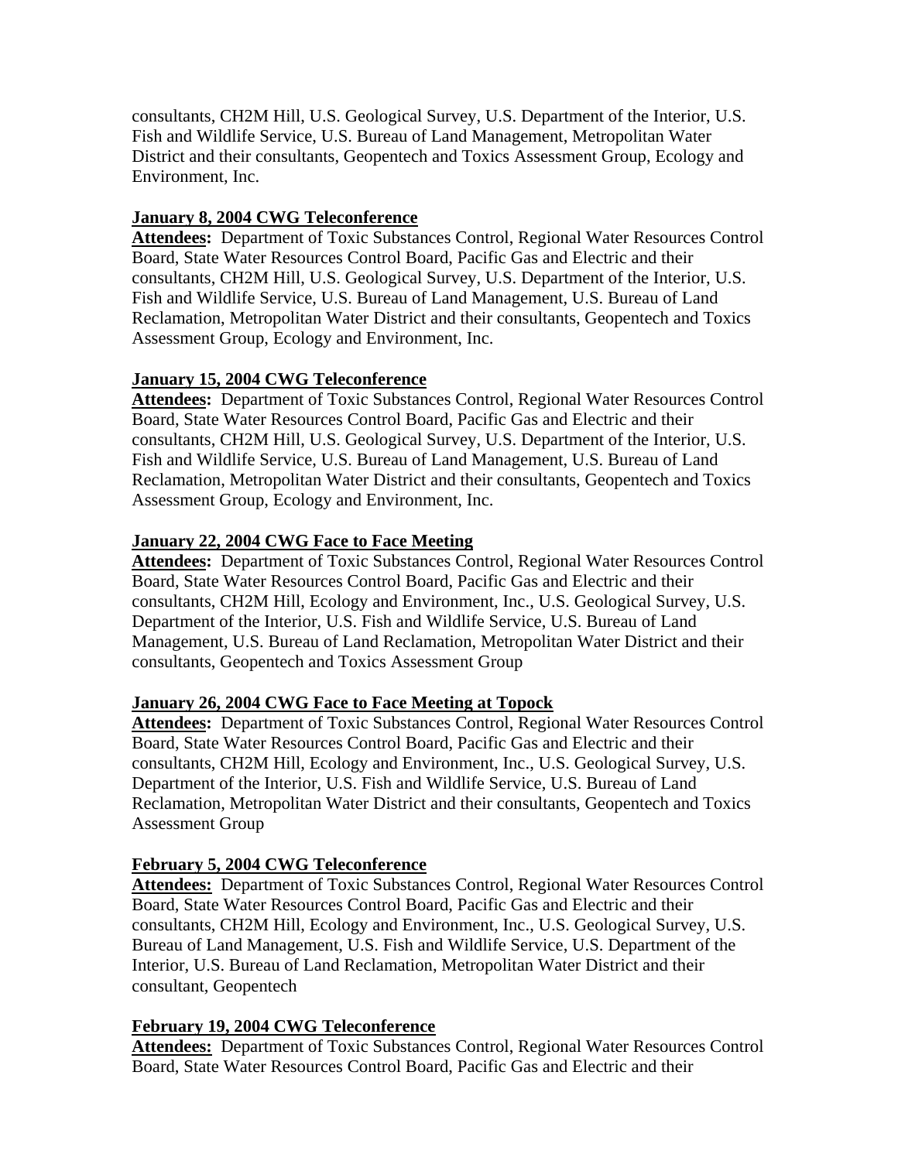consultants, CH2M Hill, U.S. Geological Survey, U.S. Department of the Interior, U.S. Fish and Wildlife Service, U.S. Bureau of Land Management, Metropolitan Water District and their consultants, Geopentech and Toxics Assessment Group, Ecology and Environment, Inc.

## **January 8, 2004 CWG Teleconference**

Attendees: Department of Toxic Substances Control, Regional Water Resources Control Board, State Water Resources Control Board, Pacific Gas and Electric and their consultants, CH2M Hill, U.S. Geological Survey, U.S. Department of the Interior, U.S. Fish and Wildlife Service, U.S. Bureau of Land Management, U.S. Bureau of Land Reclamation, Metropolitan Water District and their consultants, Geopentech and Toxics Assessment Group, Ecology and Environment, Inc.

### **January 15, 2004 CWG Teleconference**

**Attendees:** Department of Toxic Substances Control, Regional Water Resources Control Board, State Water Resources Control Board, Pacific Gas and Electric and their consultants, CH2M Hill, U.S. Geological Survey, U.S. Department of the Interior, U.S. Fish and Wildlife Service, U.S. Bureau of Land Management, U.S. Bureau of Land Reclamation, Metropolitan Water District and their consultants, Geopentech and Toxics Assessment Group, Ecology and Environment, Inc.

## **January 22, 2004 CWG Face to Face Meeting**

**Attendees:** Department of Toxic Substances Control, Regional Water Resources Control Board, State Water Resources Control Board, Pacific Gas and Electric and their consultants, CH2M Hill, Ecology and Environment, Inc., U.S. Geological Survey, U.S. Department of the Interior, U.S. Fish and Wildlife Service, U.S. Bureau of Land Management, U.S. Bureau of Land Reclamation, Metropolitan Water District and their consultants, Geopentech and Toxics Assessment Group

# **January 26, 2004 CWG Face to Face Meeting at Topock**

**Attendees:** Department of Toxic Substances Control, Regional Water Resources Control Board, State Water Resources Control Board, Pacific Gas and Electric and their consultants, CH2M Hill, Ecology and Environment, Inc., U.S. Geological Survey, U.S. Department of the Interior, U.S. Fish and Wildlife Service, U.S. Bureau of Land Reclamation, Metropolitan Water District and their consultants, Geopentech and Toxics Assessment Group

# **February 5, 2004 CWG Teleconference**

**Attendees:** Department of Toxic Substances Control, Regional Water Resources Control Board, State Water Resources Control Board, Pacific Gas and Electric and their consultants, CH2M Hill, Ecology and Environment, Inc., U.S. Geological Survey, U.S. Bureau of Land Management, U.S. Fish and Wildlife Service, U.S. Department of the Interior, U.S. Bureau of Land Reclamation, Metropolitan Water District and their consultant, Geopentech

### **February 19, 2004 CWG Teleconference**

Attendees: Department of Toxic Substances Control, Regional Water Resources Control Board, State Water Resources Control Board, Pacific Gas and Electric and their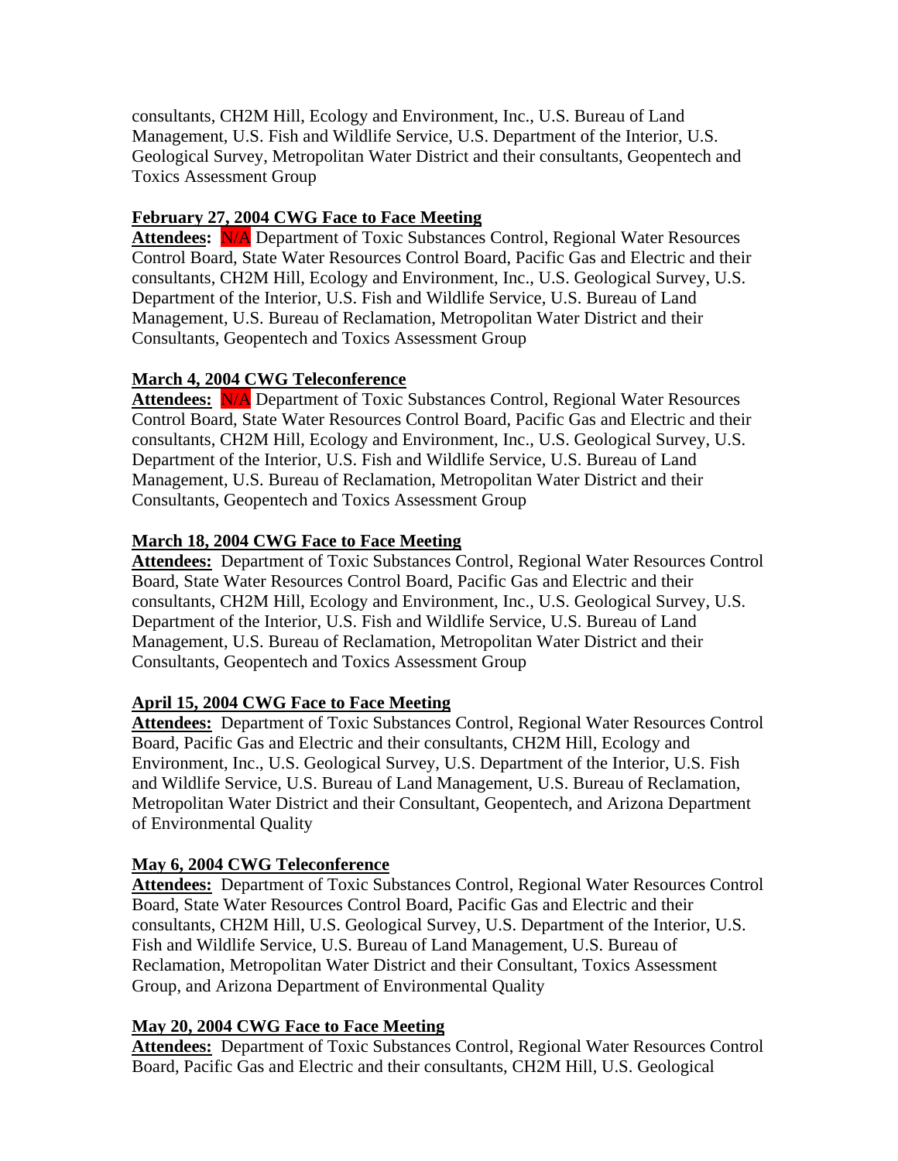consultants, CH2M Hill, Ecology and Environment, Inc., U.S. Bureau of Land Management, U.S. Fish and Wildlife Service, U.S. Department of the Interior, U.S. Geological Survey, Metropolitan Water District and their consultants, Geopentech and Toxics Assessment Group

## **February 27, 2004 CWG Face to Face Meeting**

Attendees: N/A Department of Toxic Substances Control, Regional Water Resources Control Board, State Water Resources Control Board, Pacific Gas and Electric and their consultants, CH2M Hill, Ecology and Environment, Inc., U.S. Geological Survey, U.S. Department of the Interior, U.S. Fish and Wildlife Service, U.S. Bureau of Land Management, U.S. Bureau of Reclamation, Metropolitan Water District and their Consultants, Geopentech and Toxics Assessment Group

## **March 4, 2004 CWG Teleconference**

Attendees: N/A Department of Toxic Substances Control, Regional Water Resources Control Board, State Water Resources Control Board, Pacific Gas and Electric and their consultants, CH2M Hill, Ecology and Environment, Inc., U.S. Geological Survey, U.S. Department of the Interior, U.S. Fish and Wildlife Service, U.S. Bureau of Land Management, U.S. Bureau of Reclamation, Metropolitan Water District and their Consultants, Geopentech and Toxics Assessment Group

## **March 18, 2004 CWG Face to Face Meeting**

**Attendees:** Department of Toxic Substances Control, Regional Water Resources Control Board, State Water Resources Control Board, Pacific Gas and Electric and their consultants, CH2M Hill, Ecology and Environment, Inc., U.S. Geological Survey, U.S. Department of the Interior, U.S. Fish and Wildlife Service, U.S. Bureau of Land Management, U.S. Bureau of Reclamation, Metropolitan Water District and their Consultants, Geopentech and Toxics Assessment Group

# **April 15, 2004 CWG Face to Face Meeting**

**Attendees:** Department of Toxic Substances Control, Regional Water Resources Control Board, Pacific Gas and Electric and their consultants, CH2M Hill, Ecology and Environment, Inc., U.S. Geological Survey, U.S. Department of the Interior, U.S. Fish and Wildlife Service, U.S. Bureau of Land Management, U.S. Bureau of Reclamation, Metropolitan Water District and their Consultant, Geopentech, and Arizona Department of Environmental Quality

# **May 6, 2004 CWG Teleconference**

**Attendees:** Department of Toxic Substances Control, Regional Water Resources Control Board, State Water Resources Control Board, Pacific Gas and Electric and their consultants, CH2M Hill, U.S. Geological Survey, U.S. Department of the Interior, U.S. Fish and Wildlife Service, U.S. Bureau of Land Management, U.S. Bureau of Reclamation, Metropolitan Water District and their Consultant, Toxics Assessment Group, and Arizona Department of Environmental Quality

### **May 20, 2004 CWG Face to Face Meeting**

**Attendees:** Department of Toxic Substances Control, Regional Water Resources Control Board, Pacific Gas and Electric and their consultants, CH2M Hill, U.S. Geological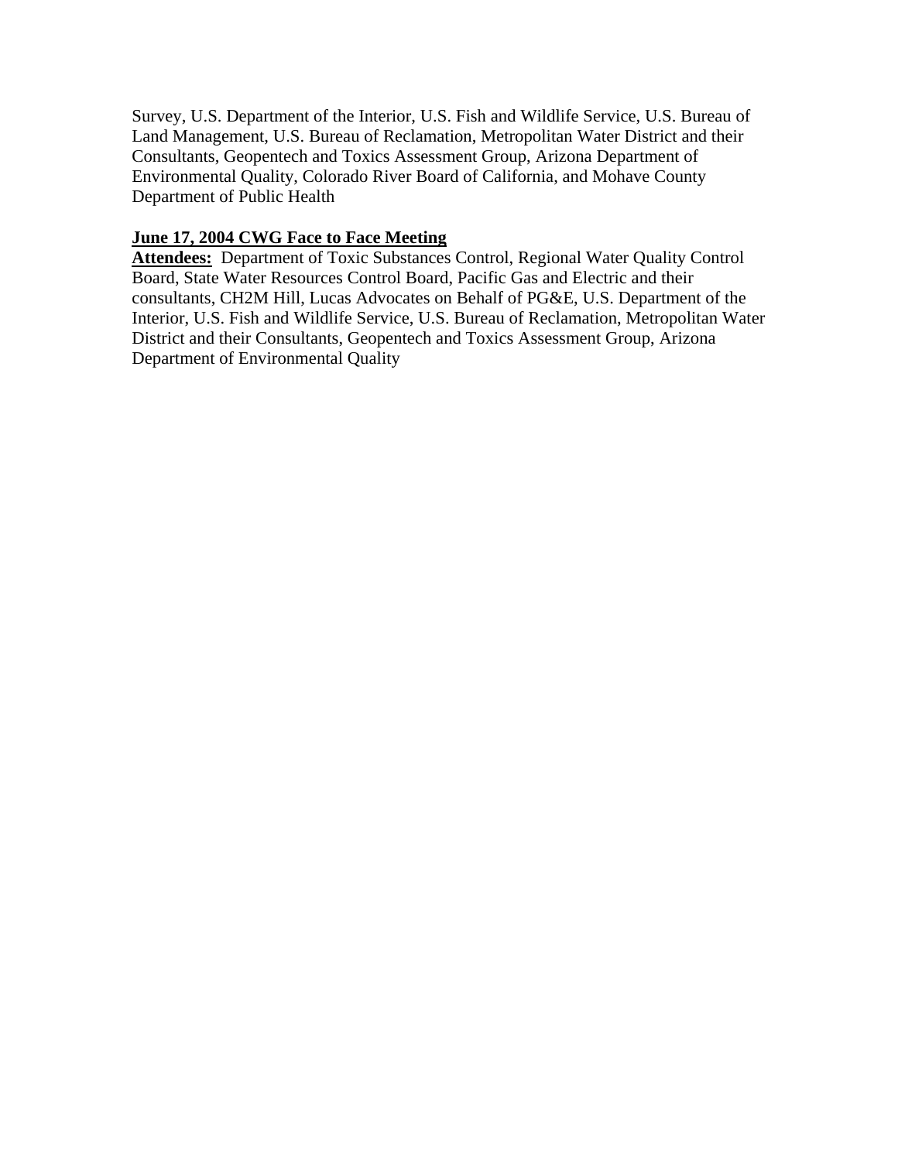Survey, U.S. Department of the Interior, U.S. Fish and Wildlife Service, U.S. Bureau of Land Management, U.S. Bureau of Reclamation, Metropolitan Water District and their Consultants, Geopentech and Toxics Assessment Group, Arizona Department of Environmental Quality, Colorado River Board of California, and Mohave County Department of Public Health

### **June 17, 2004 CWG Face to Face Meeting**

**Attendees:** Department of Toxic Substances Control, Regional Water Quality Control Board, State Water Resources Control Board, Pacific Gas and Electric and their consultants, CH2M Hill, Lucas Advocates on Behalf of PG&E, U.S. Department of the Interior, U.S. Fish and Wildlife Service, U.S. Bureau of Reclamation, Metropolitan Water District and their Consultants, Geopentech and Toxics Assessment Group, Arizona Department of Environmental Quality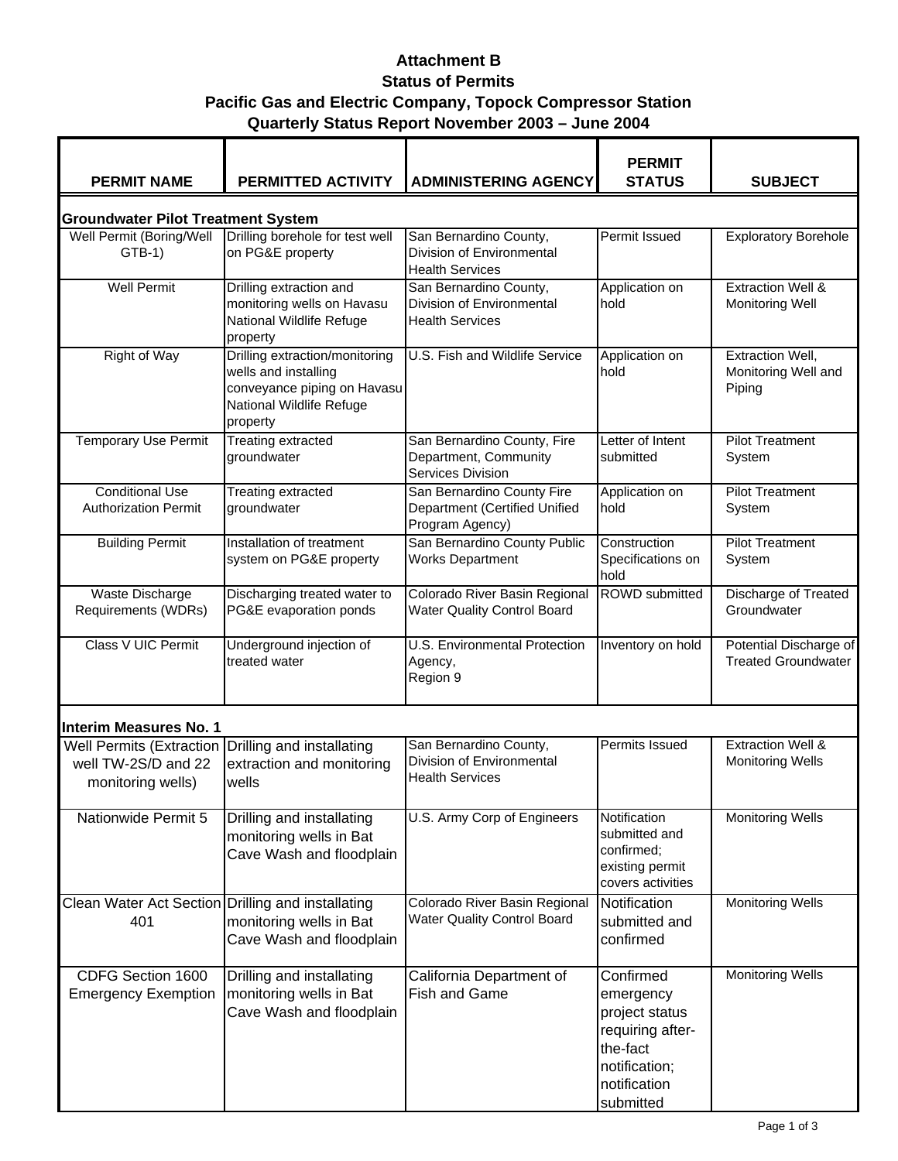## **Attachment B Status of Permits Pacific Gas and Electric Company, Topock Compressor Station Quarterly Status Report November 2003 – June 2004**

| <b>PERMIT NAME</b>                                                          | PERMITTED ACTIVITY                                                                                                            | <b>ADMINISTERING AGENCY</b>                                                    | <b>PERMIT</b><br><b>STATUS</b>                                                                                         | <b>SUBJECT</b>                                           |  |  |  |  |
|-----------------------------------------------------------------------------|-------------------------------------------------------------------------------------------------------------------------------|--------------------------------------------------------------------------------|------------------------------------------------------------------------------------------------------------------------|----------------------------------------------------------|--|--|--|--|
| <b>Groundwater Pilot Treatment System</b>                                   |                                                                                                                               |                                                                                |                                                                                                                        |                                                          |  |  |  |  |
| Well Permit (Boring/Well<br>$GTB-1)$                                        | Drilling borehole for test well<br>on PG&E property                                                                           | San Bernardino County,<br>Division of Environmental<br><b>Health Services</b>  | Permit Issued                                                                                                          | <b>Exploratory Borehole</b>                              |  |  |  |  |
| <b>Well Permit</b>                                                          | Drilling extraction and<br>monitoring wells on Havasu<br>National Wildlife Refuge<br>property                                 | San Bernardino County,<br>Division of Environmental<br><b>Health Services</b>  | Application on<br>hold                                                                                                 | <b>Extraction Well &amp;</b><br><b>Monitoring Well</b>   |  |  |  |  |
| <b>Right of Way</b>                                                         | Drilling extraction/monitoring<br>wells and installing<br>conveyance piping on Havasu<br>National Wildlife Refuge<br>property | U.S. Fish and Wildlife Service                                                 | Application on<br>hold                                                                                                 | <b>Extraction Well,</b><br>Monitoring Well and<br>Piping |  |  |  |  |
| <b>Temporary Use Permit</b>                                                 | <b>Treating extracted</b><br>groundwater                                                                                      | San Bernardino County, Fire<br>Department, Community<br>Services Division      | Letter of Intent<br>submitted                                                                                          | <b>Pilot Treatment</b><br>System                         |  |  |  |  |
| <b>Conditional Use</b><br><b>Authorization Permit</b>                       | <b>Treating extracted</b><br>groundwater                                                                                      | San Bernardino County Fire<br>Department (Certified Unified<br>Program Agency) | Application on<br>hold                                                                                                 | <b>Pilot Treatment</b><br>System                         |  |  |  |  |
| <b>Building Permit</b>                                                      | Installation of treatment<br>system on PG&E property                                                                          | San Bernardino County Public<br><b>Works Department</b>                        | Construction<br>Specifications on<br>hold                                                                              | <b>Pilot Treatment</b><br>System                         |  |  |  |  |
| Waste Discharge<br>Requirements (WDRs)                                      | Discharging treated water to<br>PG&E evaporation ponds                                                                        | Colorado River Basin Regional<br><b>Water Quality Control Board</b>            | <b>ROWD</b> submitted                                                                                                  | <b>Discharge of Treated</b><br>Groundwater               |  |  |  |  |
| Class V UIC Permit                                                          | Underground injection of<br>treated water                                                                                     | <b>U.S. Environmental Protection</b><br>Agency,<br>Region 9                    | Inventory on hold                                                                                                      | Potential Discharge of<br><b>Treated Groundwater</b>     |  |  |  |  |
| <b>Interim Measures No. 1</b>                                               |                                                                                                                               |                                                                                |                                                                                                                        |                                                          |  |  |  |  |
| <b>Well Permits (Extraction</b><br>well TW-2S/D and 22<br>monitoring wells) | Drilling and installating<br>extraction and monitoring<br>wells                                                               | San Bernardino County,<br>Division of Environmental<br><b>Health Services</b>  | Permits Issued                                                                                                         | <b>Extraction Well &amp;</b><br><b>Monitoring Wells</b>  |  |  |  |  |
| Nationwide Permit 5                                                         | Drilling and installating<br>monitoring wells in Bat<br>Cave Wash and floodplain                                              | U.S. Army Corp of Engineers                                                    | Notification<br>submitted and<br>confirmed;<br>existing permit<br>covers activities                                    | <b>Monitoring Wells</b>                                  |  |  |  |  |
| Clean Water Act Section Drilling and installating<br>401                    | monitoring wells in Bat<br>Cave Wash and floodplain                                                                           | Colorado River Basin Regional<br><b>Water Quality Control Board</b>            | Notification<br>submitted and<br>confirmed                                                                             | <b>Monitoring Wells</b>                                  |  |  |  |  |
| CDFG Section 1600<br><b>Emergency Exemption</b>                             | Drilling and installating<br>monitoring wells in Bat<br>Cave Wash and floodplain                                              | California Department of<br>Fish and Game                                      | Confirmed<br>emergency<br>project status<br>requiring after-<br>the-fact<br>notification;<br>notification<br>submitted | <b>Monitoring Wells</b>                                  |  |  |  |  |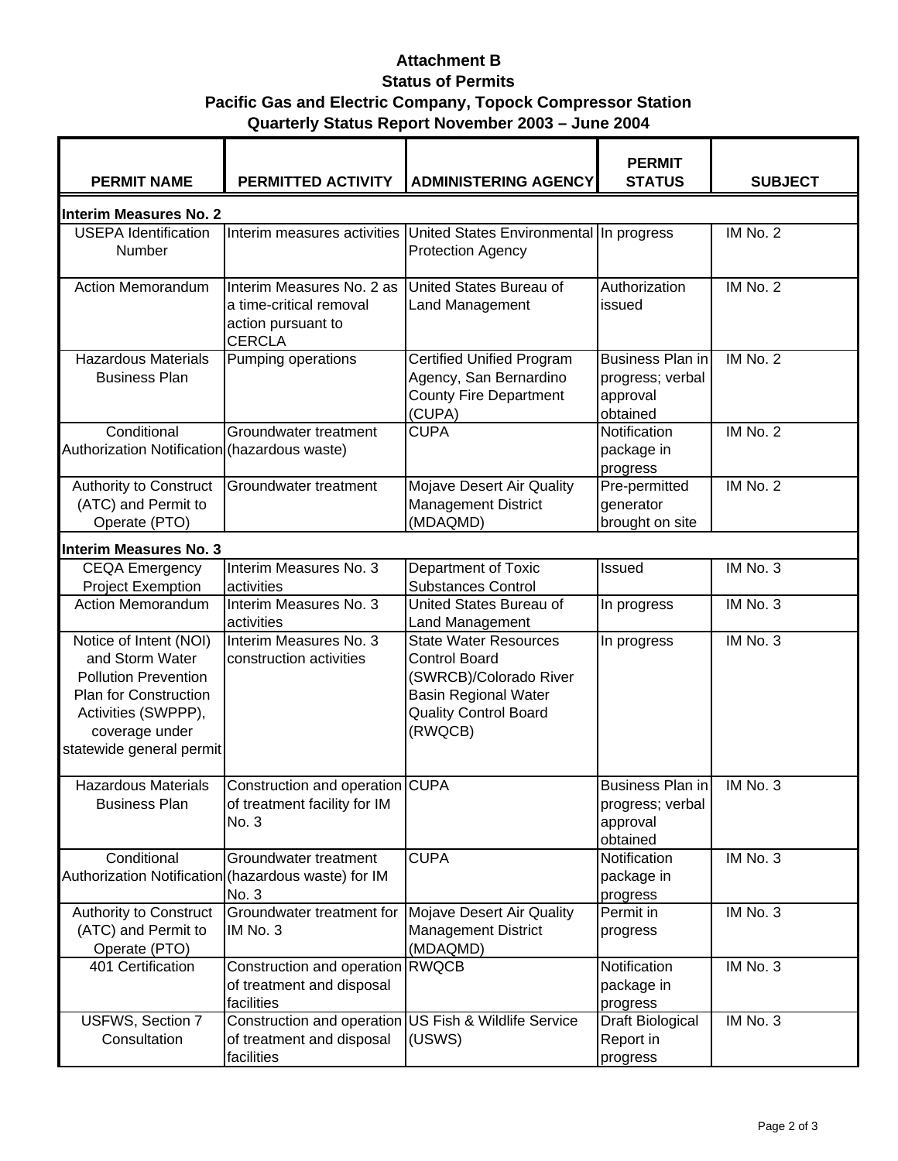## **Attachment B Status of Permits Pacific Gas and Electric Company, Topock Compressor Station Quarterly Status Report November 2003 – June 2004**

| <b>PERMIT NAME</b>                                                                                                                                                            | PERMITTED ACTIVITY                                                                          | <b>ADMINISTERING AGENCY</b>                                                                                                                              | <b>PERMIT</b><br><b>STATUS</b>                                      | <b>SUBJECT</b> |  |  |  |  |
|-------------------------------------------------------------------------------------------------------------------------------------------------------------------------------|---------------------------------------------------------------------------------------------|----------------------------------------------------------------------------------------------------------------------------------------------------------|---------------------------------------------------------------------|----------------|--|--|--|--|
| <b>Interim Measures No. 2</b>                                                                                                                                                 |                                                                                             |                                                                                                                                                          |                                                                     |                |  |  |  |  |
| <b>USEPA Identification</b><br>Number                                                                                                                                         | Interim measures activities                                                                 | United States Environmental In progress<br><b>Protection Agency</b>                                                                                      |                                                                     | IM No. 2       |  |  |  |  |
| <b>Action Memorandum</b>                                                                                                                                                      | Interim Measures No. 2 as<br>a time-critical removal<br>action pursuant to<br><b>CERCLA</b> | United States Bureau of<br><b>Land Management</b>                                                                                                        | Authorization<br>issued                                             | IM No. 2       |  |  |  |  |
| <b>Hazardous Materials</b><br><b>Business Plan</b>                                                                                                                            | Pumping operations                                                                          | <b>Certified Unified Program</b><br>Agency, San Bernardino<br><b>County Fire Department</b><br>(CUPA)                                                    | <b>Business Plan in</b><br>progress; verbal<br>approval<br>obtained | IM No. 2       |  |  |  |  |
| Conditional<br>Authorization Notification (hazardous waste)                                                                                                                   | Groundwater treatment                                                                       | <b>CUPA</b>                                                                                                                                              | Notification<br>package in<br>progress                              | IM No. 2       |  |  |  |  |
| Authority to Construct<br>(ATC) and Permit to<br>Operate (PTO)                                                                                                                | Groundwater treatment                                                                       | Mojave Desert Air Quality<br><b>Management District</b><br>(MDAQMD)                                                                                      | Pre-permitted<br>generator<br>brought on site                       | IM No. 2       |  |  |  |  |
| <b>Interim Measures No. 3</b>                                                                                                                                                 |                                                                                             |                                                                                                                                                          |                                                                     |                |  |  |  |  |
| <b>CEQA Emergency</b><br><b>Project Exemption</b>                                                                                                                             | Interim Measures No. 3<br>activities                                                        | Department of Toxic<br><b>Substances Control</b>                                                                                                         | Issued                                                              | IM No. 3       |  |  |  |  |
| <b>Action Memorandum</b>                                                                                                                                                      | Interim Measures No. 3<br>activities                                                        | United States Bureau of<br>Land Management                                                                                                               | In progress                                                         | IM No. 3       |  |  |  |  |
| Notice of Intent (NOI)<br>and Storm Water<br><b>Pollution Prevention</b><br><b>Plan for Construction</b><br>Activities (SWPPP),<br>coverage under<br>statewide general permit | Interim Measures No. 3<br>construction activities                                           | <b>State Water Resources</b><br><b>Control Board</b><br>(SWRCB)/Colorado River<br><b>Basin Regional Water</b><br><b>Quality Control Board</b><br>(RWQCB) | In progress                                                         | IM No. 3       |  |  |  |  |
| <b>Hazardous Materials</b><br><b>Business Plan</b>                                                                                                                            | Construction and operation CUPA<br>of treatment facility for IM<br>No. 3                    |                                                                                                                                                          | Business Plan in<br>progress; verbal<br>approval<br>obtained        | IM No. 3       |  |  |  |  |
| Conditional                                                                                                                                                                   | Groundwater treatment<br>Authorization Notification (hazardous waste) for IM<br>No. 3       | <b>CUPA</b>                                                                                                                                              | Notification<br>package in<br>progress                              | IM No. 3       |  |  |  |  |
| Authority to Construct<br>(ATC) and Permit to<br>Operate (PTO)                                                                                                                | Groundwater treatment for<br>IM No. 3                                                       | Mojave Desert Air Quality<br><b>Management District</b><br>(MDAQMD)                                                                                      | Permit in<br>progress                                               | IM No. 3       |  |  |  |  |
| 401 Certification                                                                                                                                                             | Construction and operation<br>of treatment and disposal<br>facilities                       | <b>RWQCB</b>                                                                                                                                             | Notification<br>package in<br>progress                              | IM No. 3       |  |  |  |  |
| USFWS, Section 7<br>Consultation                                                                                                                                              | Construction and operation<br>of treatment and disposal<br>facilities                       | US Fish & Wildlife Service<br>(USWS)                                                                                                                     | Draft Biological<br>Report in<br>progress                           | IM No. 3       |  |  |  |  |